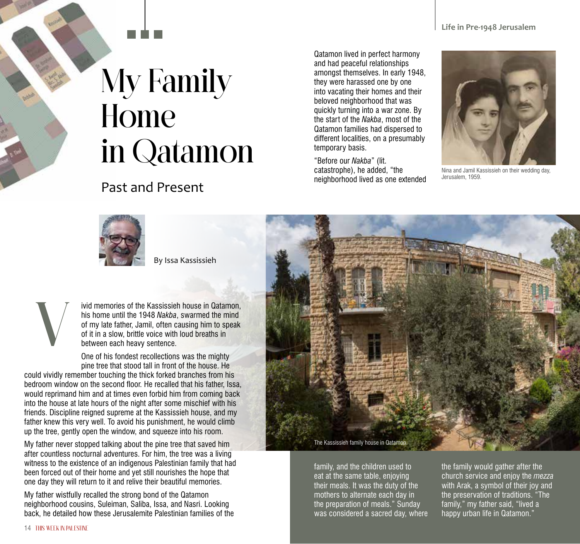## My Family Home in Qatamon

## Past and Present

Qatamon lived in perfect harmony and had peaceful relationships amongst themselves. In early 1948, they were harassed one by one into vacating their homes and their beloved neighborhood that was quickly turning into a war zone. By the start of the *Nakba*, most of the Qatamon families had dispersed to different localities, on a presumably temporary basis.

"Before our *Nakba*" (lit. catastrophe), he added, "the neighborhood lived as one extended



Nina and Jamil Kassissieh on their wedding day, Jerusalem, 1959.



By Issa Kassissieh

ivid memories of the Kassissieh house in Qatamon his home until the 1948 *Nakba*, swarmed the mind of my late father, Jamil, often causing him to speak of it in a slow, brittle voice with loud breaths in between each heavy sentence.

One of his fondest recollections was the mighty pine tree that stood tall in front of the house. He

could vividly remember touching the thick forked branches from his bedroom window on the second floor. He recalled that his father, Issa, would reprimand him and at times even forbid him from coming back into the house at late hours of the night after some mischief with his friends. Discipline reigned supreme at the Kassissieh house, and my father knew this very well. To avoid his punishment, he would climb up the tree, gently open the window, and squeeze into his room.

My father never stopped talking about the pine tree that saved him after countless nocturnal adventures. For him, the tree was a living witness to the existence of an indigenous Palestinian family that had been forced out of their home and yet still nourishes the hope that one day they will return to it and relive their beautiful memories.

My father wistfully recalled the strong bond of the Qatamon neighborhood cousins, Suleiman, Saliba, Issa, and Nasri. Looking back, he detailed how these Jerusalemite Palestinian families of the



family, and the children used to eat at the same table, enjoying their meals. It was the duty of the mothers to alternate each day in the preparation of meals." Sunday was considered a sacred day, where

the family would gather after the church service and enjoy the *mezza*  with Arak, a symbol of their joy and the preservation of traditions. "The family," my father said, "lived a happy urban life in Qatamon."

V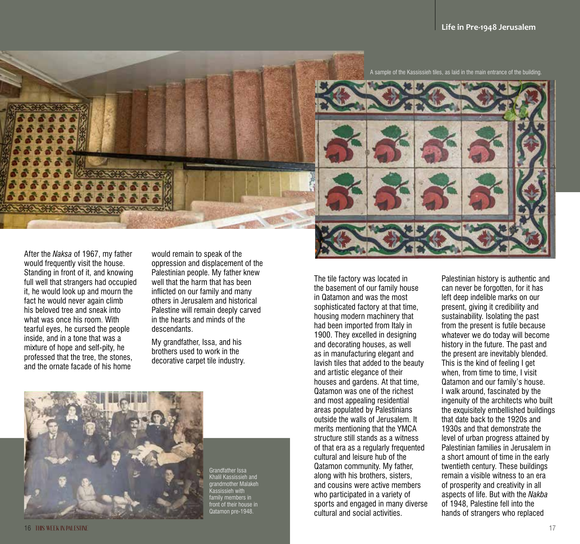

A sample of the Kassissieh tiles, as laid in the main entrance of the building.



After the *Naksa* of 1967, my father would frequently visit the house. Standing in front of it, and knowing full well that strangers had occupied it, he would look up and mourn the fact he would never again climb his beloved tree and sneak into what was once his room. With tearful eyes, he cursed the people inside, and in a tone that was a mixture of hope and self-pity, he professed that the tree, the stones, and the ornate facade of his home

would remain to speak of the oppression and displacement of the Palestinian people. My father knew well that the harm that has been inflicted on our family and many others in Jerusalem and historical Palestine will remain deeply carved in the hearts and minds of the descendants.

My grandfather, Issa, and his brothers used to work in the decorative carpet tile industry.



Grandfather Issa Khalil Kassissieh and grandmother Malakeh ieh with family members in front of their house in Qatamon pre-1948.

The tile factory was located in the basement of our family house in Qatamon and was the most sophisticated factory at that time, housing modern machinery that had been imported from Italy in 1900. They excelled in designing and decorating houses, as well as in manufacturing elegant and lavish tiles that added to the beauty and artistic elegance of their houses and gardens. At that time, Qatamon was one of the richest and most appealing residential areas populated by Palestinians outside the walls of Jerusalem. It merits mentioning that the YMCA structure still stands as a witness of that era as a regularly frequented cultural and leisure hub of the Qatamon community. My father, along with his brothers, sisters, and cousins were active members who participated in a variety of sports and engaged in many diverse cultural and social activities.

Palestinian history is authentic and can never be forgotten, for it has left deep indelible marks on our present, giving it credibility and sustainability. Isolating the past from the present is futile because whatever we do today will become history in the future. The past and the present are inevitably blended. This is the kind of feeling I get when, from time to time, I visit Qatamon and our family's house. I walk around, fascinated by the ingenuity of the architects who built the exquisitely embellished buildings that date back to the 1920s and 1930s and that demonstrate the level of urban progress attained by Palestinian families in Jerusalem in a short amount of time in the early twentieth century. These buildings remain a visible witness to an era of prosperity and creativity in all aspects of life. But with the *Nakba* of 1948, Palestine fell into the hands of strangers who replaced

16 **THIS WEEK IN PALESTINE** 17